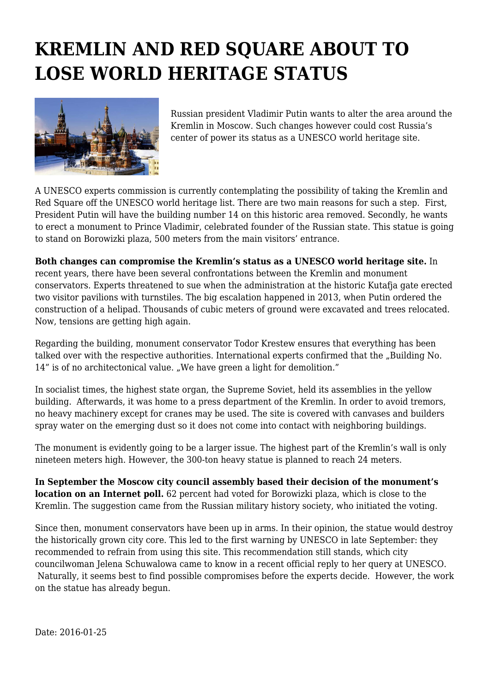## **KREMLIN AND RED SQUARE ABOUT TO LOSE WORLD HERITAGE STATUS**



Russian president Vladimir Putin wants to alter the area around the Kremlin in Moscow. Such changes however could cost Russia's center of power its status as a UNESCO world heritage site.

A UNESCO experts commission is currently contemplating the possibility of taking the Kremlin and Red Square off the UNESCO world heritage list. There are two main reasons for such a step. First, President Putin will have the building number 14 on this historic area removed. Secondly, he wants to erect a monument to Prince Vladimir, celebrated founder of the Russian state. This statue is going to stand on Borowizki plaza, 500 meters from the main visitors' entrance.

**Both changes can compromise the Kremlin's status as a UNESCO world heritage site.** In recent years, there have been several confrontations between the Kremlin and monument conservators. Experts threatened to sue when the administration at the historic Kutafja gate erected two visitor pavilions with turnstiles. The big escalation happened in 2013, when Putin ordered the construction of a helipad. Thousands of cubic meters of ground were excavated and trees relocated. Now, tensions are getting high again.

Regarding the building, monument conservator Todor Krestew ensures that everything has been talked over with the respective authorities. International experts confirmed that the "Building No. 14" is of no architectonical value. "We have green a light for demolition."

In socialist times, the highest state organ, the Supreme Soviet, held its assemblies in the yellow building. Afterwards, it was home to a press department of the Kremlin. In order to avoid tremors, no heavy machinery except for cranes may be used. The site is covered with canvases and builders spray water on the emerging dust so it does not come into contact with neighboring buildings.

The monument is evidently going to be a larger issue. The highest part of the Kremlin's wall is only nineteen meters high. However, the 300-ton heavy statue is planned to reach 24 meters.

**In September the Moscow city council assembly based their decision of the monument's location on an Internet poll.** 62 percent had voted for Borowizki plaza, which is close to the Kremlin. The suggestion came from the Russian military history society, who initiated the voting.

Since then, monument conservators have been up in arms. In their opinion, the statue would destroy the historically grown city core. This led to the first warning by UNESCO in late September: they recommended to refrain from using this site. This recommendation still stands, which city councilwoman Jelena Schuwalowa came to know in a recent official reply to her query at UNESCO. Naturally, it seems best to find possible compromises before the experts decide. However, the work on the statue has already begun.